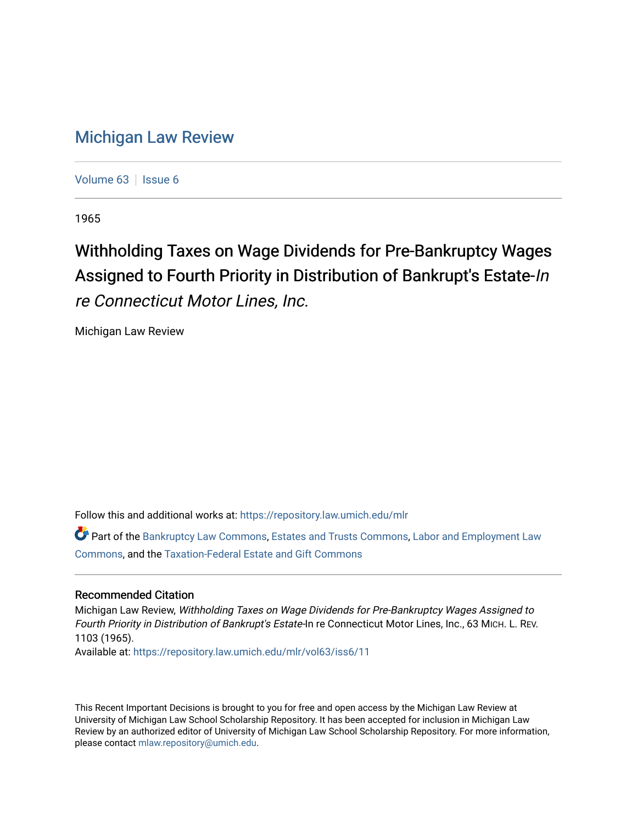## [Michigan Law Review](https://repository.law.umich.edu/mlr)

[Volume 63](https://repository.law.umich.edu/mlr/vol63) | [Issue 6](https://repository.law.umich.edu/mlr/vol63/iss6)

1965

## Withholding Taxes on Wage Dividends for Pre-Bankruptcy Wages Assigned to Fourth Priority in Distribution of Bankrupt's Estate-In re Connecticut Motor Lines, Inc.

Michigan Law Review

Follow this and additional works at: [https://repository.law.umich.edu/mlr](https://repository.law.umich.edu/mlr?utm_source=repository.law.umich.edu%2Fmlr%2Fvol63%2Fiss6%2F11&utm_medium=PDF&utm_campaign=PDFCoverPages) 

Part of the [Bankruptcy Law Commons,](http://network.bepress.com/hgg/discipline/583?utm_source=repository.law.umich.edu%2Fmlr%2Fvol63%2Fiss6%2F11&utm_medium=PDF&utm_campaign=PDFCoverPages) [Estates and Trusts Commons,](http://network.bepress.com/hgg/discipline/906?utm_source=repository.law.umich.edu%2Fmlr%2Fvol63%2Fiss6%2F11&utm_medium=PDF&utm_campaign=PDFCoverPages) [Labor and Employment Law](http://network.bepress.com/hgg/discipline/909?utm_source=repository.law.umich.edu%2Fmlr%2Fvol63%2Fiss6%2F11&utm_medium=PDF&utm_campaign=PDFCoverPages)  [Commons](http://network.bepress.com/hgg/discipline/909?utm_source=repository.law.umich.edu%2Fmlr%2Fvol63%2Fiss6%2F11&utm_medium=PDF&utm_campaign=PDFCoverPages), and the [Taxation-Federal Estate and Gift Commons](http://network.bepress.com/hgg/discipline/880?utm_source=repository.law.umich.edu%2Fmlr%2Fvol63%2Fiss6%2F11&utm_medium=PDF&utm_campaign=PDFCoverPages) 

## Recommended Citation

Michigan Law Review, Withholding Taxes on Wage Dividends for Pre-Bankruptcy Wages Assigned to Fourth Priority in Distribution of Bankrupt's Estate-In re Connecticut Motor Lines, Inc., 63 MICH. L. REV. 1103 (1965).

Available at: [https://repository.law.umich.edu/mlr/vol63/iss6/11](https://repository.law.umich.edu/mlr/vol63/iss6/11?utm_source=repository.law.umich.edu%2Fmlr%2Fvol63%2Fiss6%2F11&utm_medium=PDF&utm_campaign=PDFCoverPages) 

This Recent Important Decisions is brought to you for free and open access by the Michigan Law Review at University of Michigan Law School Scholarship Repository. It has been accepted for inclusion in Michigan Law Review by an authorized editor of University of Michigan Law School Scholarship Repository. For more information, please contact [mlaw.repository@umich.edu.](mailto:mlaw.repository@umich.edu)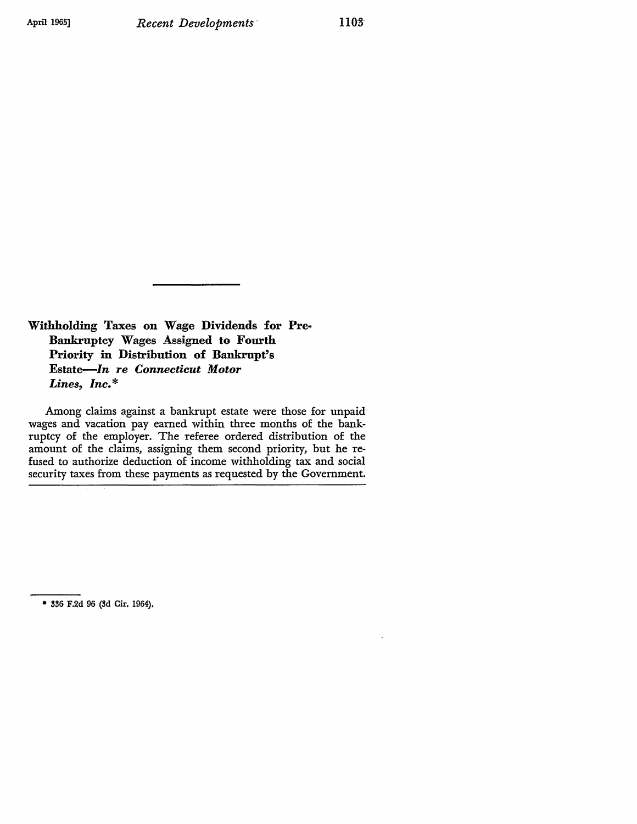**Withholding Taxes on Wage Dividends for Pre-Bankruptcy Wages Assigned to Fourth Priority** in **Distribution of Bankrupt's Estate-In** *re Connecticut Motor Lines, Inc.\** 

Among claims against a bankrupt estate were those for unpaid wages and vacation pay earned within three months of the bankruptcy of the employer. The referee ordered distribution of the amount of the claims, assigning them second priority, but he refused to authorize deduction of income withholding tax and social security taxes from these payments as requested by the Government.

<sup>\* 336</sup> F.2d 96 (3d Cir. 1964).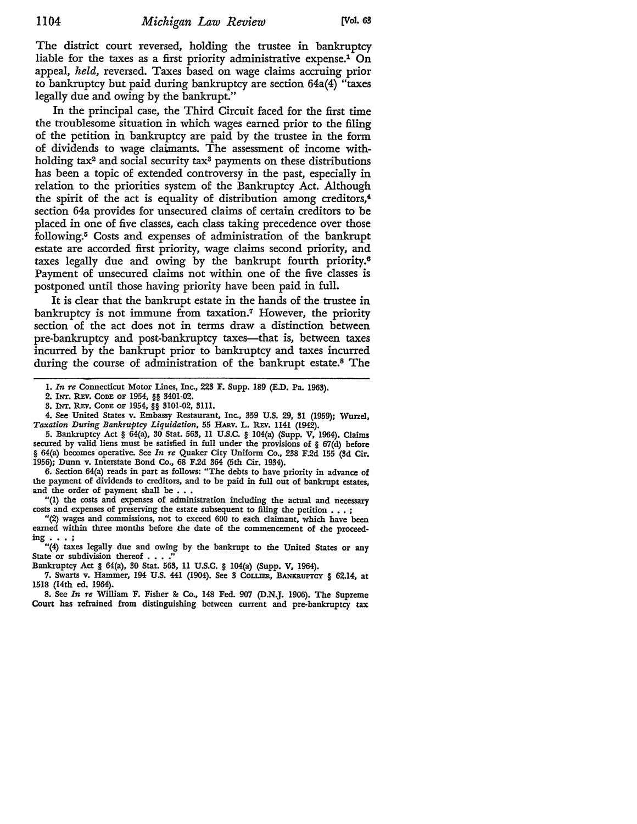The district court reversed, holding the trustee in bankruptcy liable for the taxes as a first priority administrative expense.<sup>1</sup> On appeal, *held,* reversed. Taxes based on wage claims accruing prior to bankruptcy but paid during bankruptcy are section 64a(4) "taxes legally due and owing by the bankrupt."

In the principal case, the Third Circuit faced for the first time the troublesome situation in which wages earned prior to the filing of the petition in bankruptcy are paid by the trustee in the form of dividends to wage claimants. The assessment of income withholding tax<sup>2</sup> and social security tax<sup>3</sup> payments on these distributions has been a topic of extended controversy in the past, especially in relation to the priorities system of the Bankruptcy Act. Although the spirit of the act is equality of distribution among creditors, $4$ section 64a provides for unsecured claims of certain creditors to be placed in one of five classes, each class taking precedence over those following.5 Costs and expenses of administration of the bankrupt estate are accorded first priority, wage claims second priority, and taxes legally due and owing by the bankrupt fourth priority.<sup>6</sup> Payment of unsecured claims not within one of the five classes is postponed until those having priority have been paid in full.

It is clear that the bankrupt estate in the hands of the trustee in bankruptcy is not immune from taxation.7 However, the priority section of the act does not in terms draw a distinction between pre-bankruptcy and post-bankruptcy taxes—that is, between taxes incurred by the bankrupt prior to bankruptcy and taxes incurred during the course of administration of the bankrupt estate.8 The

5. Bankruptcy Act § 64(a), 30 Stat. 563, 11 U.S.C. § 104(a) (Supp. V, 1964). Claims secured by valid liens must be satisfied in full under the provisions of § 67(d) before § 64(a) becomes operative. See *In re* Quaker City Uniform Co., 238 F.2d 155 (3d Cir. 1956); Dunn v. Interstate Bond Co., 68 F.2d 364 (5th Cir. 1934).

6. Section 64(a) reads in part as follows: "The debts to have priority in advance of the payment of dividends to creditors, and to be paid in full out of bankrupt estates, and the order of payment shall be  $\ldots$ 

"(l) the costs and expenses of administration including the actual and necessary costs and expenses of preserving the estate subsequent to filing the petition . . . ;

"(2) wages and commissions, not to exceed 600 to each claimant, which have been earned within three months before the date of the commencement of the proceed-<br> $\text{img } \dots$ "(4) taxes legally due and owing by the bankrupt to the United States or any

State or subdivision thereof . . . ."

Bankruptcy Act § 64(a), 30 Stat. 563, 11 U.S.C. § 104(a) (Supp. V, 1964).

7. Swarts v. Hammer, 194 U.S. 441 (1904). See 3 COLLIER, BANKRUPTCY § 62,14, at 1518 (14th ed. 1964).

8. See *In re* William F. Fisher &: Co., 148 Fed. 907 (D.N.J. 1906). The Supreme Court has refrained from distinguishing between current and pre-bankruptcy tax

I. *In re* Connecticut Motor Lines, Inc., 223 F. Supp. 189 (E.D. Pa. 1963).

<sup>2.</sup> INT. REV. CODE OF 1954, §§ 3401-02.

<sup>3.</sup> INT. REV. CODE OF 1954, §§ 3101-02, 3111.

<sup>4.</sup> See United States v. Embassy Restaurant, Inc., 359 U.S. 29, 31 (1959); Wurzel, *Taxation During Bankruptcy Liquidation,* 55 HARV. L. R.Ev. 1141 (1942).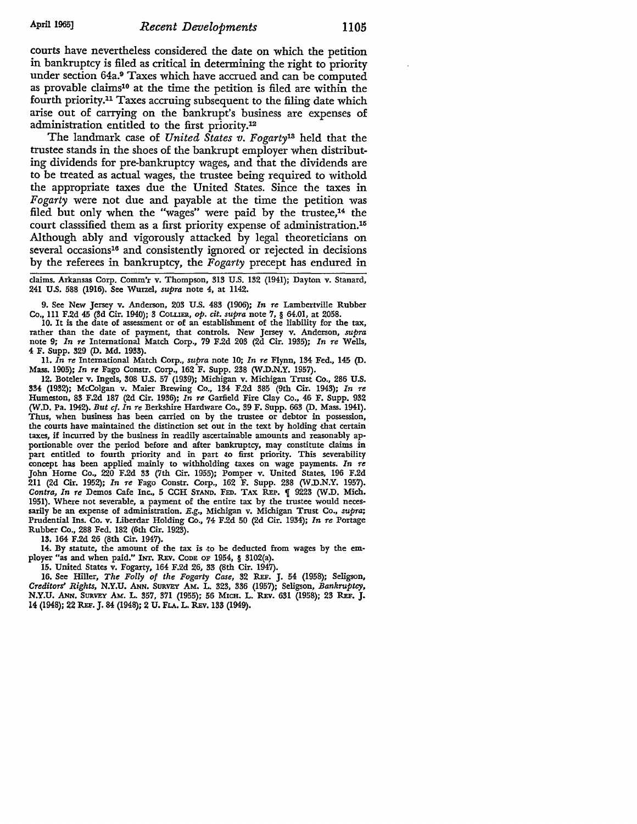courts have nevertheless considered the date on which the petition in bankruptcy is filed as critical in determining the right to priority under section 64a.9 Taxes which have accrued and can be computed as provable claims<sup>10</sup> at the time the petition is filed are within the fourth priority.11 Taxes accruing subsequent to the filing date which arise out of carrying on the bankrupt's business are expenses of administration entitled to the first priority.12

The landmark case of *United States v. Fogarty13* held that the trustee stands in the shoes of the bankrupt employer when distributing dividends for pre-bankruptcy wages, and that the dividends are to be treated as actual wages, the trustee being required to withold the appropriate taxes due the United States. Since the taxes in *Fogarty* were not due and payable at the time the petition was filed but only when the "wages" were paid by the trustee,<sup>14</sup> the court classsified them as a first priority expense of administration.15 Although ably and vigorously attacked by legal theoreticians on several occasions<sup>16</sup> and consistently ignored or rejected in decisions by the referees in bankruptcy, the *Fogarty* precept has endured in

claims. Arkansas Corp. Comm'r v. Thompson, 313 U.S. 132 (1941); Dayton v. Stanard, 241 U.S. 588 (1916), See Wurzel, *supra* note 4, at 1142.

9. See New Jersey v. Anderson, 203 U.S. 483 (1906); *In re* Lambertville Rubber Co., Ill F.2d 45 (3d Cir. 1940); 3 CoLI.IER, *op. cit. supra* note 7, § 64.01, at 2058.

IO. It is the date of assessment or of an establishment of the liability for the tax, rather than the date of payment, that controls. New Jersey v. Anderson, *supra*  note 9; *In re* International Match Corp., 79 F.2d 203 (2d Cir. 1935); *In re* Wells, 4 F. Supp. 329 (D. Md. 1933).

11. *In re* International Match Corp., *supra* note 10; *In re* Flynn, 134 Fed., 145 (D. Mass. 1905); *In re* Fago Constr. Corp., 162 F. Supp. 238 (W .D.N.Y. 1957).

12. Boteler v. Ingels, 308 U.S. 57 (1939); Michigan v. Michigan Trust Co., 286 U.S. 334 (1932); McColgan v. Maier Brewing Co., 134 F.2d 385 (9th Cir. 1943); *In re*  Humeston, 83 F.2d 187 (2d Cir. 1936); *In re* Garfield Fire Clay Co., 46 F. Supp. 932 (W.D. Pa. 1942). *But cf. In re* Berkshire Hardware Co., 39 F. Supp. 663 (D. Mass. 1941). Thus, when business has been carried on by the trustee or debtor in possession, the courts have maintained the distinction set out in the text by holding that certain taxes, if incurred by the business in readily ascertainable amounts and reasonably ap• portionable over the period before and after bankruptcy, may constitute claims in part entitled to fourth priority and in part to first priority. This severability concept has been applied mainly to withholding taxes on wage payments. *In re*  John Home Co., 220 F.2d 33 (7th Cir. 1955); Pomper v. United States, 196 F.2d 211 (2d Cir. 1952); *In re* Fago Constr. Corp., 162 F. Supp. 238 (W .D.N.Y. 1957). *Contra, In re Demos Cafe Inc., 5 CCH STAND. FED. TAX REP.* **[9223 (W.D. Mich.** 1951). Where not severable, a payment of the entire tax by the trustee would necessarily be an expense of administration. *E.g.,* Michigan v. Michigan Trust Co., *supra;*  Prudential Ins. Co. v. Liberdar Holding Co., 74 F.2d 50 (2d Cir. 1934); *In re* Portage Rubber Co., 288 Fed. 182 (6th Cir. 1923).

**13.** 164 F.2d 26 (8th Cir. 1947).

14. By statute, the amount of the tax is to be deducted from wages by the employer "as and when paid." INT. REv. CODE OF 1954, § 3102(a).

15. United States v. Fogarty, 164 F.2d 26, 33 (8th Cir. 1947).

16. See Hiller, *The Folly of the Fogarty Case,* 32 REF. J. 54 (1958); Seligson, *Creditors' Rights,* N.Y.U. ANN. SURVEY AM. L 323, 336 (1957); Seligson, *Bankruptcy,*  N.Y.U. ANN. SURVEY AM. L. 357, 371 (1955); 56 MICH. L. REv. 631 (1958); 23 REF. J. 14 (1948); 22 REF. J. 84 (1948); 2 U. FLA. L. REv. 133 (1949).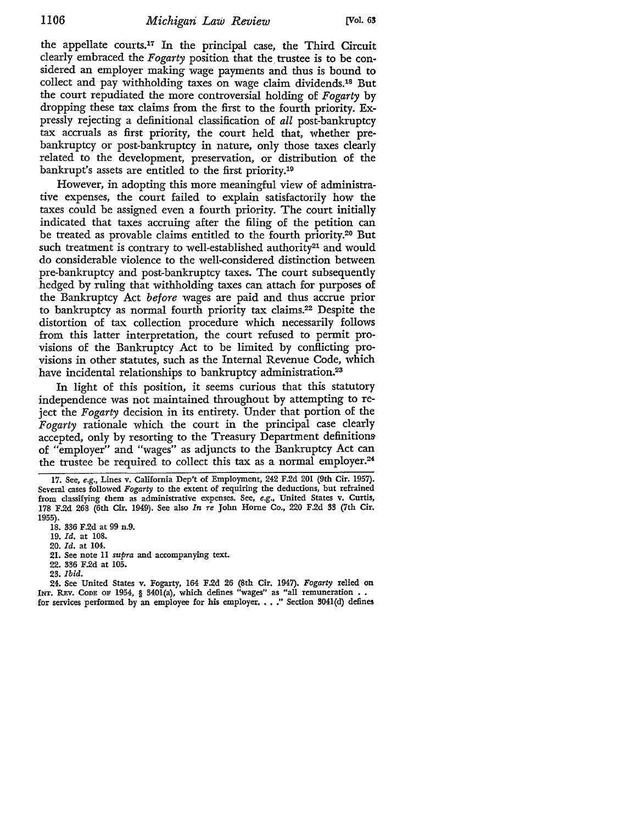the appellate courts.17 In the principal case, the Third Circuit clearly embraced the *Fogarty* position that the\_ trustee is to be considered an employer making wage payments and thus is bound to collect and pay withholding taxes on wage claim dividends.18 But the court repudiated the more controversial holding of *Fogarty* by dropping these tax claims from the first to the fourth priority. Expressly rejecting a definitional classification of *all* post-bankruptcy tax accruals as first priority, the court held that, whether prebankruptcy or post-bankruptcy in nature, only those taxes clearly related to the development, preservation, or distribution of the bankrupt's assets are entitled to the first priority.19

However, in adopting this more meaningful view of administrative expenses, the court failed to explain satisfactorily how the taxes could be assigned even a fourth priority. The court initially indicated that taxes accruing after the filing of the petition can be treated as provable claims entitled to the fourth priority.20 But such treatment is contrary to well-established authority<sup>21</sup> and would do considerable violence to the well-considered distinction between pre-bankruptcy and post-bankruptcy taxes. The court subsequently hedged by ruling that withholding taxes can attach for purposes of the Bankruptcy Act *before* wages are paid and thus accrue prior to bankruptcy as normal fourth priority tax claims.22 Despite the distortion of tax collection procedure which necessarily follows from this latter interpretation, the court refused to permit provisions of the Bankruptcy Act to be limited by conflicting provisions in other statutes, such as the Internal Revenue Code, which have incidental relationships to bankruptcy administration.<sup>23</sup>

In light of this position, it seems curious that this statutory independence was not maintained throughout by attempting to reject the *Fogarty* decision in its entirety. Under that portion of the *Fogarty* rationale which the court in the principal case clearly accepted, only by resorting to the Treasury Department definitionsof "employer" and "wages" as adjuncts to the Bankruptcy Act can the trustee be required to collect this tax as a normal employer.24

21. See note 11 *supra* and accompanying text.

24. See United States v. Fogarty, 164 F.2d 26 (8th Cir. 1947). *Fogarty* relied on INT. REV. Code of 1954, § 3401(a), which defines "wages" as "all remuneration . . for services performed by an employee for his employer. . . . " Section 3041(d) defines

<sup>17.</sup> See, *e.g.,* Lines v. California Dep't of Employment, 242 F.2d 201 (9th Cir. 1957). Several cases followed *Fogarty* to the extent of requiring the deductions, but refrained from classifying them as administrative expenses. See, e.g., United States v. Curtis, 178 F.2d 268 (6th Cir. 1949). See also *In re* John Horne Co., 220 F.2d 33 (7th Cir. 1955).

<sup>18. 336</sup> F.2d at 99 n.9.

<sup>19.</sup> *Id.* at 108.

<sup>20.</sup> *Id.* at 104.

<sup>22. 336</sup> F.2d at 105.

<sup>23.</sup> *Ibid.*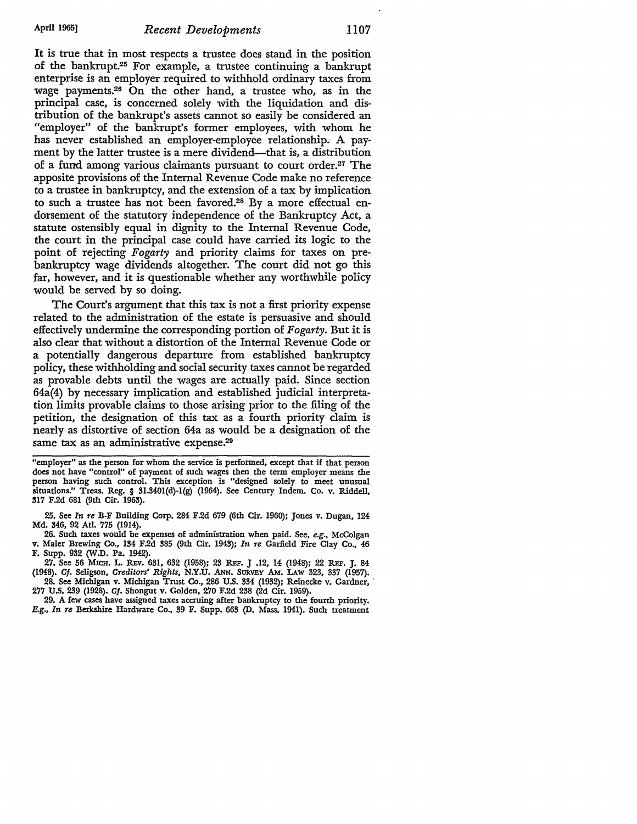It is true that in most respects a trustee does stand in the position of the bankrupt.25 For example, a trustee continuing a bankrupt enterprise is an employer required to withhold ordinary taxes from wage payments.26 On the other hand, a trustee who, as in the principal case, is concerned solely with the liquidation and distribution of the bankrupt's assets cannot so easily be considered an "employer" of the bankrupt's former employees, with whom he has never established an employer-employee relationship. A payment by the latter trustee is a mere dividend—that is, a distribution of a fund among various claimants pursuant to court order.27 The apposite provisions of the Internal Revenue Code make no reference to a trustee in bankruptcy, and the extension of a tax by implication to such a trustee has not been favored.28 By a more effectual endorsement of the statutory independence of the Bankruptcy Act, a statute ostensibly equal in dignity to the Internal Revenue Code, the court in the principal case could have carried its logic to the point of rejecting *Fogarty* and priority claims for taxes on prebankruptcy wage dividends altogether. The court did not go this far, however, and it is questionable whether any worthwhile policy would be served by so doing.

The Court's argument that this tax is not a first priority expense related to the administration of the estate is persuasive and should effectively undermine the corresponding portion of *Fogarty.* But it is also clear that without a distortion of the Internal Revenue Code or a potentially dangerous departure from established bankruptcy policy, these withholding and social security taxes cannot be regarded as provable debts until the wages are actually paid. Since section 64a(4) by necessary implication and established judicial interpretation limits provable claims to those arising prior to the filing of the petition, the designation of this tax as a fourth priority claim is nearly as distortive of section 64a as would be a designation of the same tax as an administrative expense.<sup>29</sup>

"employer" as the person for whom the service is performed, except that if that person does not have "control" of payment of such wages then the term employer means the person having such control. This exception is "designed solely to meet unusual situations." Treas. Reg. § 31.340l(d)-l(g) (1964). See Century lndem. Co. v. Riddell, **317** F.2d 681 (9th Cir. 1963).

25. See *In re* B-F Building Corp. 284 F.2d 679 (6th Cir. 1960); Jones v. Dugan, 124 Md. 346, 92 Atl. 775 (1914).

26. Such taxes would be expenses of administration when paid. See, *e.g.,* McColgan v. Maier 'Brewing Co., 134 F.2d 385 (9th Cir. 1943); *In re* Garfield Fire Clay Co., 46 F. Supp. 932 (W .D. Pa. 1942).

27. See 56 MICH. L. REv. 631, 632 (1958); 23 REF. J .12, 14 (1948); 22 REF. J. 84 (1948). Cf. Seligson, Creditors' Rights, N.Y.U. ANN. SURVEY AM. LAW 323, 33'7 (1957).

28. See Michigan v. Michigan Trust Co., 286 U.S. 334 (1932); Reinecke v. Gardner,' 277 U.S. 239 (1928). Cf. Shongut v. Golden, 270 F.2d 238 (2d Cir. 1959).

29. A few cases have assigned taxes accruing after bankruptcy to the fourth priority. *E.g., In re* Berkshire Hardware Co., 39 F. Supp. 663 (D. Mass. 1941). Such treatment